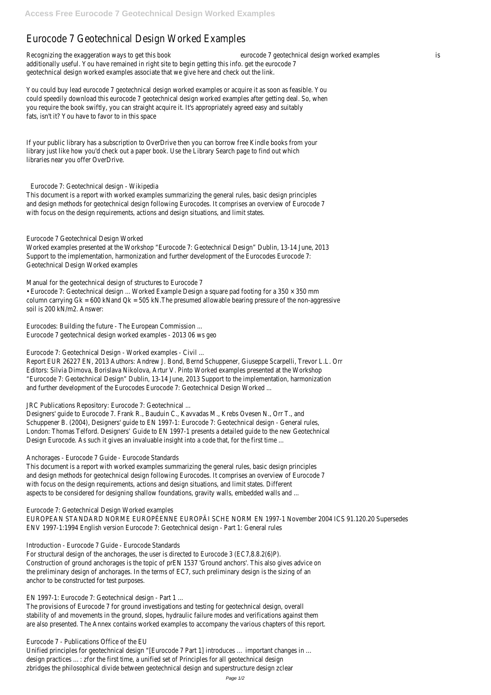# Eurocode 7 Geotechnical Design Worked Examples

Recognizing the exaggeration ways to get this book eurocode 7 geotechnical design worked examples is additionally useful. You have remained in right site to begin getting this info. get the eurocode 7 geotechnical design worked examples associate that we give here and check out the link.

You could buy lead eurocode 7 geotechnical design worked examples or acquire it as soon as feasible. You could speedily download this eurocode 7 geotechnical design worked examples after getting deal. So, when you require the book swiftly, you can straight acquire it. It's appropriately agreed easy and suitably fats, isn't it? You have to favor to in this space

If your public library has a subscription to OverDrive then you can borrow free Kindle books from your library just like how you'd check out a paper book. Use the Library Search page to find out which libraries near you offer OverDrive.

### Eurocode 7: Geotechnical design - Wikipedia

This document is a report with worked examples summarizing the general rules, basic design principles and design methods for geotechnical design following Eurocodes. It comprises an overview of Eurocode 7 with focus on the design requirements, actions and design situations, and limit states.

Designers' guide to Eurocode 7. Frank R., Bauduin C., Kavvadas M., Krebs Ovesen N., Orr T., and Schuppener B. (2004), Designers' guide to EN 1997-1: Eurocode 7: Geotechnical design - General rules, London: Thomas Telford. Designers' Guide to EN 1997-1 presents a detailed guide to the new Geotechnical Design Eurocode. As such it gives an invaluable insight into a code that, for the first time ...

### Eurocode 7 Geotechnical Design Worked

Worked examples presented at the Workshop "Eurocode 7: Geotechnical Design" Dublin, 13-14 June, 2013 Support to the implementation, harmonization and further development of the Eurocodes Eurocode 7: Geotechnical Design Worked examples

This document is a report with worked examples summarizing the general rules, basic design principles and design methods for geotechnical design following Eurocodes. It comprises an overview of Eurocode 7 with focus on the design requirements, actions and design situations, and limit states. Different aspects to be considered for designing shallow foundations, gravity walls, embedded walls and ...

Manual for the geotechnical design of structures to Eurocode 7 • Eurocode 7: Geotechnical design ... Worked Example Design a square pad footing for a 350 × 350 mm column carrying Gk = 600 kNand Qk = 505 kN.The presumed allowable bearing pressure of the non-aggressive soil is 200 kN/m2. Answer:

Eurocodes: Building the future - The European Commission ... Eurocode 7 geotechnical design worked examples - 2013 06 ws geo

Eurocode 7: Geotechnical Design - Worked examples - Civil ...

Report EUR 26227 EN, 2013 Authors: Andrew J. Bond, Bernd Schuppener, Giuseppe Scarpelli, Trevor L.L. Orr Editors: Silvia Dimova, Borislava Nikolova, Artur V. Pinto Worked examples presented at the Workshop "Eurocode 7: Geotechnical Design" Dublin, 13-14 June, 2013 Support to the implementation, harmonization and further development of the Eurocodes Eurocode 7: Geotechnical Design Worked ...

JRC Publications Repository: Eurocode 7: Geotechnical ...

# Anchorages - Eurocode 7 Guide - Eurocode Standards

Eurocode 7: Geotechnical Design Worked examples

EUROPEAN STANDARD NORME EUROPÉENNE EUROPÄI SCHE NORM EN 1997-1 November 2004 ICS 91.120.20 Supersedes

ENV 1997-1:1994 English version Eurocode 7: Geotechnical design - Part 1: General rules

Introduction - Eurocode 7 Guide - Eurocode Standards

For structural design of the anchorages, the user is directed to Eurocode 3 (EC7,8.8.2(6)P). Construction of ground anchorages is the topic of prEN 1537 'Ground anchors'. This also gives advice on the preliminary design of anchorages. In the terms of EC7, such preliminary design is the sizing of an anchor to be constructed for test purposes.

EN 1997-1: Eurocode 7: Geotechnical design - Part 1 ...

The provisions of Eurocode 7 for ground investigations and testing for geotechnical design, overall stability of and movements in the ground, slopes, hydraulic failure modes and verifications against them are also presented. The Annex contains worked examples to accompany the various chapters of this report.

Eurocode 7 - Publications Office of the EU

Unified principles for geotechnical design "[Eurocode 7 Part 1] introduces … important changes in … design practices …: zfor the first time, a unified set of Principles for all geotechnical design zbridges the philosophical divide between geotechnical design and superstructure design zclear